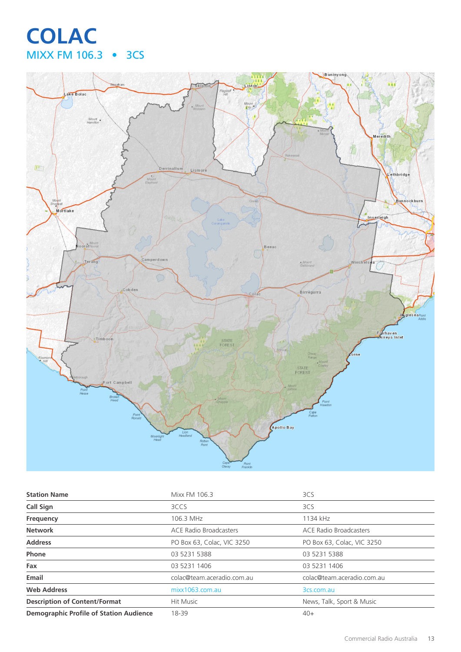# **COLAC** MIXX FM 106.3 • 3CS



| <b>Station Name</b>                            | Mixx FM 106.3                 | 3CS                           |
|------------------------------------------------|-------------------------------|-------------------------------|
| <b>Call Sign</b>                               | 3CCS                          | 3CS                           |
| Frequency                                      | 106.3 MHz                     | 1134 kHz                      |
| <b>Network</b>                                 | <b>ACE Radio Broadcasters</b> | <b>ACE Radio Broadcasters</b> |
| <b>Address</b>                                 | PO Box 63, Colac, VIC 3250    | PO Box 63, Colac, VIC 3250    |
| Phone                                          | 03 5231 5388                  | 03 5231 5388                  |
| Fax                                            | 03 5231 1406                  | 03 5231 1406                  |
| Email                                          | colac@team.aceradio.com.au    | colac@team.aceradio.com.au    |
| <b>Web Address</b>                             | mixx1063.com.au               | 3cs.com.au                    |
| <b>Description of Content/Format</b>           | Hit Music                     | News, Talk, Sport & Music     |
| <b>Demographic Profile of Station Audience</b> | 18-39                         | $40+$                         |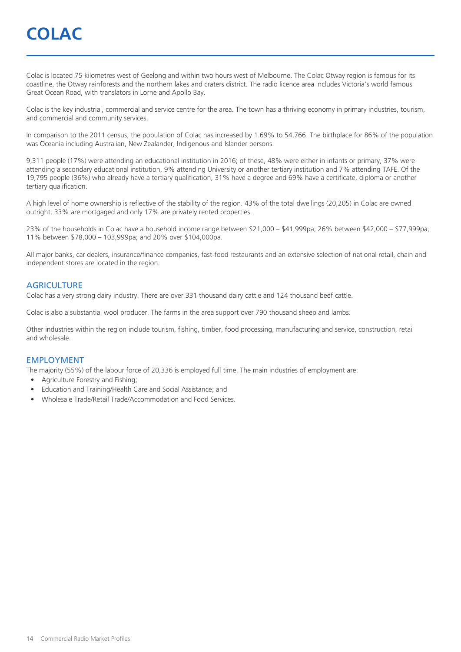# **COLAC**

Colac is located 75 kilometres west of Geelong and within two hours west of Melbourne. The Colac Otway region is famous for its coastline, the Otway rainforests and the northern lakes and craters district. The radio licence area includes Victoria's world famous Great Ocean Road, with translators in Lorne and Apollo Bay.

Colac is the key industrial, commercial and service centre for the area. The town has a thriving economy in primary industries, tourism, and commercial and community services.

In comparison to the 2011 census, the population of Colac has increased by 1.69% to 54,766. The birthplace for 86% of the population was Oceania including Australian, New Zealander, Indigenous and Islander persons.

9,311 people (17%) were attending an educational institution in 2016; of these, 48% were either in infants or primary, 37% were attending a secondary educational institution, 9% attending University or another tertiary institution and 7% attending TAFE. Of the 19,795 people (36%) who already have a tertiary qualification, 31% have a degree and 69% have a certificate, diploma or another tertiary qualification.

A high level of home ownership is reflective of the stability of the region. 43% of the total dwellings (20,205) in Colac are owned outright, 33% are mortgaged and only 17% are privately rented properties.

23% of the households in Colac have a household income range between \$21,000 – \$41,999pa; 26% between \$42,000 – \$77,999pa; 11% between \$78,000 – 103,999pa; and 20% over \$104,000pa.

All major banks, car dealers, insurance/finance companies, fast-food restaurants and an extensive selection of national retail, chain and independent stores are located in the region.

#### **AGRICULTURE**

Colac has a very strong dairy industry. There are over 331 thousand dairy cattle and 124 thousand beef cattle.

Colac is also a substantial wool producer. The farms in the area support over 790 thousand sheep and lambs.

Other industries within the region include tourism, fishing, timber, food processing, manufacturing and service, construction, retail and wholesale.

#### EMPLOYMENT

The majority (55%) of the labour force of 20,336 is employed full time. The main industries of employment are:

- Agriculture Forestry and Fishing;
- Education and Training/Health Care and Social Assistance; and
- Wholesale Trade/Retail Trade/Accommodation and Food Services.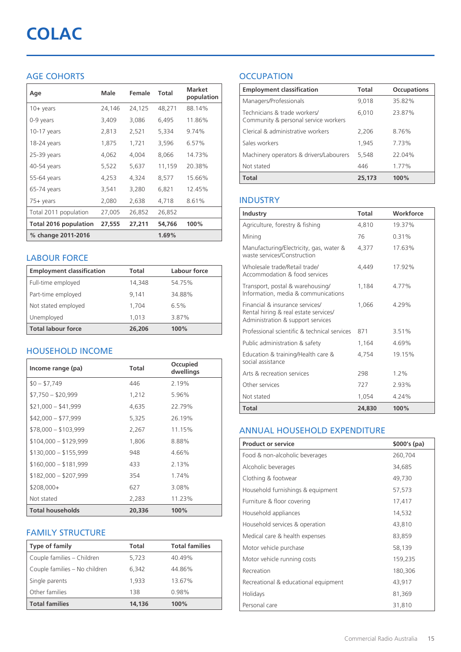# **COLAC**

## AGE COHORTS

| Age                   | Male   | Female | Total  | <b>Market</b><br>population |
|-----------------------|--------|--------|--------|-----------------------------|
| $10 + \gamma$ ears    | 24,146 | 24,125 | 48,271 | 88.14%                      |
| 0-9 years             | 3,409  | 3,086  | 6,495  | 11.86%                      |
| $10-17$ years         | 2,813  | 2,521  | 5,334  | 9.74%                       |
| 18-24 years           | 1,875  | 1,721  | 3,596  | 6.57%                       |
| 25-39 years           | 4,062  | 4,004  | 8,066  | 14.73%                      |
| 40-54 years           | 5,522  | 5,637  | 11,159 | 20.38%                      |
| 55-64 years           | 4,253  | 4,324  | 8,577  | 15.66%                      |
| 65-74 years           | 3,541  | 3,280  | 6.821  | 12.45%                      |
| 75+ years             | 2,080  | 2,638  | 4,718  | 8.61%                       |
| Total 2011 population | 27,005 | 26,852 | 26,852 |                             |
| Total 2016 population | 27,555 | 27,211 | 54,766 | 100%                        |
| % change 2011-2016    |        |        | 1.69%  |                             |

### LABOUR FORCE

| <b>Employment classification</b> | Total  | Labour force |
|----------------------------------|--------|--------------|
| Full-time employed               | 14,348 | 54.75%       |
| Part-time employed               | 9.141  | 34.88%       |
| Not stated employed              | 1.704  | 6.5%         |
| Unemployed                       | 1.013  | 3.87%        |
| <b>Total labour force</b>        | 26,206 | 100%         |

### HOUSEHOLD INCOME

| Income range (pa)       | Total  | Occupied<br>dwellings |
|-------------------------|--------|-----------------------|
| $$0 - $7,749$           | 446    | 2.19%                 |
| $$7,750 - $20,999$      | 1,212  | 5.96%                 |
| $$21,000 - $41,999$     | 4,635  | 22.79%                |
| $$42,000 - $77,999$     | 5,325  | 26.19%                |
| $$78,000 - $103,999$    | 2,267  | 11.15%                |
| $$104,000 - $129,999$   | 1,806  | 8.88%                 |
| $$130,000 - $155,999$   | 948    | 4.66%                 |
| $$160,000 - $181,999$   | 433    | 2.13%                 |
| $$182,000 - $207,999$   | 354    | 1.74%                 |
| $$208,000+$             | 627    | 3.08%                 |
| Not stated              | 2,283  | 11.23%                |
| <b>Total households</b> | 20,336 | 100%                  |

#### FAMILY STRUCTURE

| <b>Type of family</b>         | Total  | <b>Total families</b> |
|-------------------------------|--------|-----------------------|
| Couple families - Children    | 5,723  | 40.49%                |
| Couple families - No children | 6.342  | 44.86%                |
| Single parents                | 1.933  | 13.67%                |
| Other families                | 138    | 0.98%                 |
| <b>Total families</b>         | 14,136 | 100%                  |

## **OCCUPATION**

| <b>Employment classification</b>                                     | Total  | <b>Occupations</b> |
|----------------------------------------------------------------------|--------|--------------------|
| Managers/Professionals                                               | 9,018  | 35.82%             |
| Technicians & trade workers/<br>Community & personal service workers | 6,010  | 23.87%             |
| Clerical & administrative workers                                    | 2,206  | 8.76%              |
| Sales workers                                                        | 1,945  | 7.73%              |
| Machinery operators & drivers/Labourers                              | 5,548  | 22.04%             |
| Not stated                                                           | 446    | 1.77%              |
| <b>Total</b>                                                         | 25,173 | 100%               |

### INDUSTRY

| Industry                                                                                                      | Total  | Workforce |
|---------------------------------------------------------------------------------------------------------------|--------|-----------|
| Agriculture, forestry & fishing                                                                               | 4,810  | 19.37%    |
| Mining                                                                                                        | 76     | 0.31%     |
| Manufacturing/Electricity, gas, water &<br>waste services/Construction                                        | 4,377  | 17.63%    |
| Wholesale trade/Retail trade/<br>Accommodation & food services                                                | 4.449  | 17.92%    |
| Transport, postal & warehousing/<br>Information, media & communications                                       | 1,184  | 4.77%     |
| Financial & insurance services/<br>Rental hiring & real estate services/<br>Administration & support services | 1.066  | 4.29%     |
| Professional scientific & technical services                                                                  | 871    | 3.51%     |
| Public administration & safety                                                                                | 1,164  | 4.69%     |
| Education & training/Health care &<br>social assistance                                                       | 4.754  | 19.15%    |
| Arts & recreation services                                                                                    | 298    | 1.2%      |
| Other services                                                                                                | 727    | 2.93%     |
| Not stated                                                                                                    | 1.054  | 4.24%     |
| Total                                                                                                         | 24,830 | 100%      |

#### ANNUAL HOUSEHOLD EXPENDITURE

| <b>Product or service</b>            | $$000's$ (pa) |
|--------------------------------------|---------------|
| Food & non-alcoholic beverages       | 260,704       |
| Alcoholic beverages                  | 34,685        |
| Clothing & footwear                  | 49,730        |
| Household furnishings & equipment    | 57,573        |
| Furniture & floor covering           | 17,417        |
| Household appliances                 | 14,532        |
| Household services & operation       | 43,810        |
| Medical care & health expenses       | 83,859        |
| Motor vehicle purchase               | 58,139        |
| Motor vehicle running costs          | 159,235       |
| Recreation                           | 180,306       |
| Recreational & educational equipment | 43,917        |
| Holidays                             | 81,369        |
| Personal care                        | 31,810        |